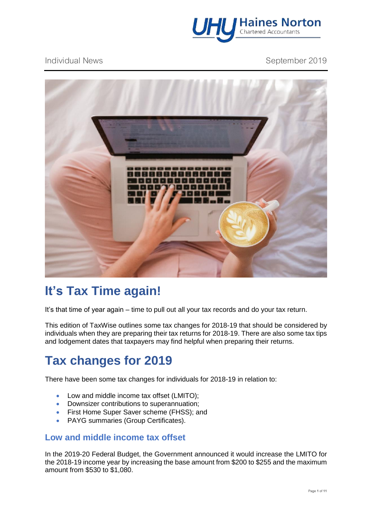

### Individual News **September 2019**



# **It's Tax Time again!**

It's that time of year again – time to pull out all your tax records and do your tax return.

This edition of TaxWise outlines some tax changes for 2018-19 that should be considered by individuals when they are preparing their tax returns for 2018-19. There are also some tax tips and lodgement dates that taxpayers may find helpful when preparing their returns.

# **Tax changes for 2019**

There have been some tax changes for individuals for 2018-19 in relation to:

- Low and middle income tax offset (LMITO):
- Downsizer contributions to superannuation;
- First Home Super Saver scheme (FHSS); and
- PAYG summaries (Group Certificates).

### **Low and middle income tax offset**

In the 2019-20 Federal Budget, the Government announced it would increase the LMITO for the 2018-19 income year by increasing the base amount from \$200 to \$255 and the maximum amount from \$530 to \$1,080.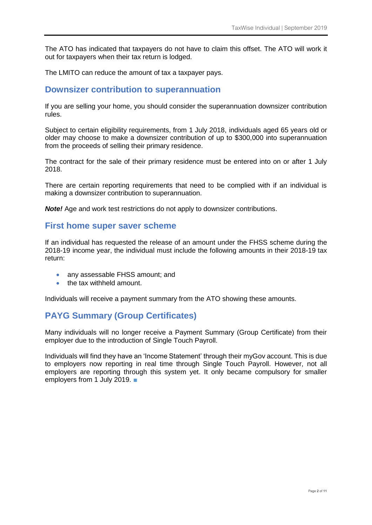The ATO has indicated that taxpayers do not have to claim this offset. The ATO will work it out for taxpayers when their tax return is lodged.

The LMITO can reduce the amount of tax a taxpayer pays.

#### **Downsizer contribution to superannuation**

If you are selling your home, you should consider the superannuation downsizer contribution rules.

Subject to certain eligibility requirements, from 1 July 2018, individuals aged 65 years old or older may choose to make a downsizer contribution of up to \$300,000 into superannuation from the proceeds of selling their primary residence.

The contract for the sale of their primary residence must be entered into on or after 1 July 2018.

There are certain reporting requirements that need to be complied with if an individual is making a downsizer contribution to superannuation.

*Note!* Age and work test restrictions do not apply to downsizer contributions.

### **First home super saver scheme**

If an individual has requested the release of an amount under the FHSS scheme during the 2018-19 income year, the individual must include the following amounts in their 2018-19 tax return:

- any assessable FHSS amount; and
- the tax withheld amount

Individuals will receive a payment summary from the ATO showing these amounts.

### **PAYG Summary (Group Certificates)**

Many individuals will no longer receive a Payment Summary (Group Certificate) from their employer due to the introduction of Single Touch Payroll.

Individuals will find they have an 'Income Statement' through their myGov account. This is due to employers now reporting in real time through Single Touch Payroll. However, not all employers are reporting through this system yet. It only became compulsory for smaller employers from 1 July 2019. ■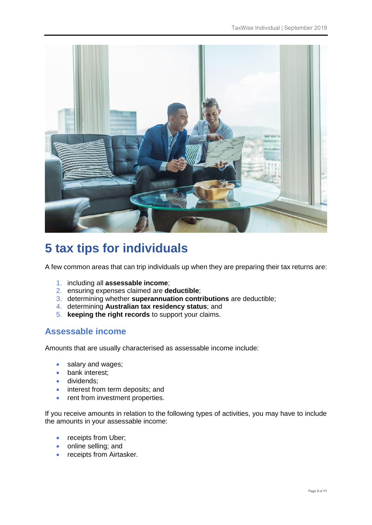

# **5 tax tips for individuals**

A few common areas that can trip individuals up when they are preparing their tax returns are:

- 1. including all **assessable income**;
- 2. ensuring expenses claimed are **deductible**;
- 3. determining whether **superannuation contributions** are deductible;
- 4. determining **Australian tax residency status**; and
- 5. **keeping the right records** to support your claims.

### **Assessable income**

Amounts that are usually characterised as assessable income include:

- salary and wages;
- bank interest:
- dividends;
- interest from term deposits; and
- rent from investment properties.

If you receive amounts in relation to the following types of activities, you may have to include the amounts in your assessable income:

- receipts from Uber;
- online selling; and
- receipts from Airtasker.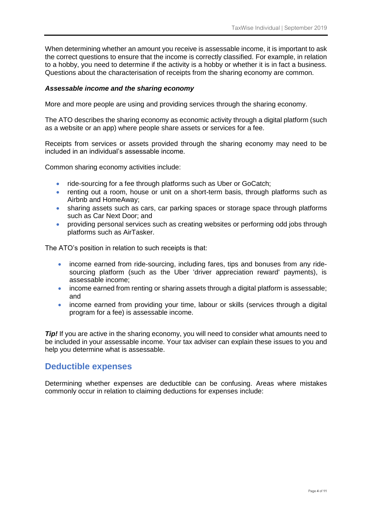When determining whether an amount you receive is assessable income, it is important to ask the correct questions to ensure that the income is correctly classified. For example, in relation to a hobby, you need to determine if the activity is a hobby or whether it is in fact a business. Questions about the characterisation of receipts from the sharing economy are common.

#### *Assessable income and the sharing economy*

More and more people are using and providing services through the sharing economy.

The ATO describes the sharing economy as economic activity through a digital platform (such as a website or an app) where people share assets or services for a fee.

Receipts from services or assets provided through the sharing economy may need to be included in an individual's assessable income.

Common sharing economy activities include:

- ride-sourcing for a fee through platforms such as Uber or GoCatch;
- renting out a room, house or unit on a short-term basis, through platforms such as Airbnb and HomeAway;
- sharing assets such as cars, car parking spaces or storage space through platforms such as Car Next Door; and
- providing personal services such as creating websites or performing odd jobs through platforms such as AirTasker.

The ATO's position in relation to such receipts is that:

- income earned from ride-sourcing, including fares, tips and bonuses from anv ridesourcing platform (such as the Uber 'driver appreciation reward' payments), is assessable income;
- income earned from renting or sharing assets through a digital platform is assessable; and
- income earned from providing your time, labour or skills (services through a digital program for a fee) is assessable income.

*Tip!* If you are active in the sharing economy, you will need to consider what amounts need to be included in your assessable income. Your tax adviser can explain these issues to you and help you determine what is assessable.

### **Deductible expenses**

Determining whether expenses are deductible can be confusing. Areas where mistakes commonly occur in relation to claiming deductions for expenses include: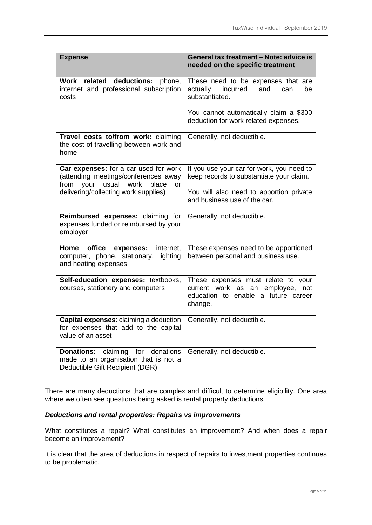| <b>Expense</b>                                                                                                                                                            | General tax treatment - Note: advice is<br>needed on the specific treatment                                                          |
|---------------------------------------------------------------------------------------------------------------------------------------------------------------------------|--------------------------------------------------------------------------------------------------------------------------------------|
| Work related deductions:<br>phone,<br>internet and professional subscription<br>costs                                                                                     | These need to be expenses that are<br>incurred<br>actually<br>and<br>be<br>can<br>substantiated.                                     |
|                                                                                                                                                                           | You cannot automatically claim a \$300<br>deduction for work related expenses.                                                       |
| Travel costs to/from work: claiming<br>the cost of travelling between work and<br>home                                                                                    | Generally, not deductible.                                                                                                           |
| Car expenses: for a car used for work<br>(attending meetings/conferences away<br>usual<br>from your<br>work<br>place<br><b>or</b><br>delivering/collecting work supplies) | If you use your car for work, you need to<br>keep records to substantiate your claim.<br>You will also need to apportion private     |
|                                                                                                                                                                           | and business use of the car.                                                                                                         |
| Reimbursed expenses: claiming for<br>expenses funded or reimbursed by your<br>employer                                                                                    | Generally, not deductible.                                                                                                           |
| Home<br>office<br>internet,<br>expenses:<br>computer, phone, stationary,<br>lighting<br>and heating expenses                                                              | These expenses need to be apportioned<br>between personal and business use.                                                          |
| Self-education expenses: textbooks,<br>courses, stationery and computers                                                                                                  | These expenses must relate to your<br>current work<br>employee,<br>an<br>not<br>as<br>education to enable a future career<br>change. |
| Capital expenses: claiming a deduction<br>for expenses that add to the capital<br>value of an asset                                                                       | Generally, not deductible.                                                                                                           |
| <b>Donations:</b><br>claiming<br>for<br>donations<br>made to an organisation that is not a<br>Deductible Gift Recipient (DGR)                                             | Generally, not deductible.                                                                                                           |

There are many deductions that are complex and difficult to determine eligibility. One area where we often see questions being asked is rental property deductions.

#### *Deductions and rental properties: Repairs vs improvements*

What constitutes a repair? What constitutes an improvement? And when does a repair become an improvement?

It is clear that the area of deductions in respect of repairs to investment properties continues to be problematic.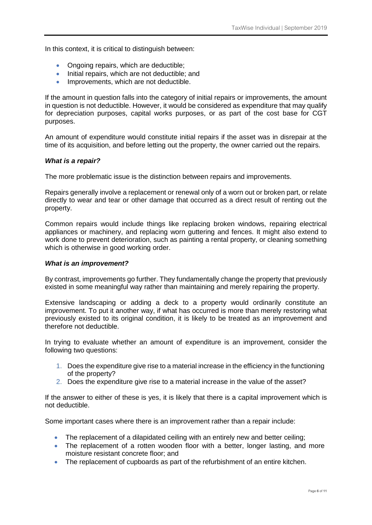In this context, it is critical to distinguish between:

- Ongoing repairs, which are deductible;
- Initial repairs, which are not deductible; and
- Improvements, which are not deductible.

If the amount in question falls into the category of initial repairs or improvements, the amount in question is not deductible. However, it would be considered as expenditure that may qualify for depreciation purposes, capital works purposes, or as part of the cost base for CGT purposes.

An amount of expenditure would constitute initial repairs if the asset was in disrepair at the time of its acquisition, and before letting out the property, the owner carried out the repairs.

#### *What is a repair?*

The more problematic issue is the distinction between repairs and improvements.

Repairs generally involve a replacement or renewal only of a worn out or broken part, or relate directly to wear and tear or other damage that occurred as a direct result of renting out the property.

Common repairs would include things like replacing broken windows, repairing electrical appliances or machinery, and replacing worn guttering and fences. It might also extend to work done to prevent deterioration, such as painting a rental property, or cleaning something which is otherwise in good working order.

#### *What is an improvement?*

By contrast, improvements go further. They fundamentally change the property that previously existed in some meaningful way rather than maintaining and merely repairing the property.

Extensive landscaping or adding a deck to a property would ordinarily constitute an improvement. To put it another way, if what has occurred is more than merely restoring what previously existed to its original condition, it is likely to be treated as an improvement and therefore not deductible.

In trying to evaluate whether an amount of expenditure is an improvement, consider the following two questions:

- 1. Does the expenditure give rise to a material increase in the efficiency in the functioning of the property?
- 2. Does the expenditure give rise to a material increase in the value of the asset?

If the answer to either of these is yes, it is likely that there is a capital improvement which is not deductible.

Some important cases where there is an improvement rather than a repair include:

- The replacement of a dilapidated ceiling with an entirely new and better ceiling;
- The replacement of a rotten wooden floor with a better, longer lasting, and more moisture resistant concrete floor; and
- The replacement of cupboards as part of the refurbishment of an entire kitchen.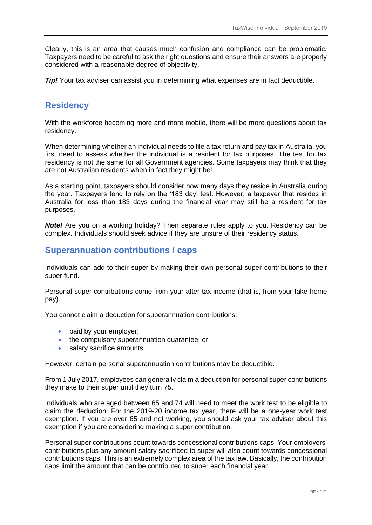Clearly, this is an area that causes much confusion and compliance can be problematic. Taxpayers need to be careful to ask the right questions and ensure their answers are properly considered with a reasonable degree of objectivity.

*Tip!* Your tax adviser can assist you in determining what expenses are in fact deductible.

### **Residency**

With the workforce becoming more and more mobile, there will be more questions about tax residency.

When determining whether an individual needs to file a tax return and pay tax in Australia, you first need to assess whether the individual is a resident for tax purposes. The test for tax residency is not the same for all Government agencies. Some taxpayers may think that they are not Australian residents when in fact they might be!

As a starting point, taxpayers should consider how many days they reside in Australia during the year. Taxpayers tend to rely on the '183 day' test. However, a taxpayer that resides in Australia for less than 183 days during the financial year may still be a resident for tax purposes.

*Note!* Are you on a working holiday? Then separate rules apply to you. Residency can be complex. Individuals should seek advice if they are unsure of their residency status.

### **Superannuation contributions / caps**

Individuals can add to their super by making their own personal super contributions to their super fund.

Personal super contributions come from your after-tax income (that is, from your take-home pay).

You cannot claim a deduction for superannuation contributions:

- paid by your employer;
- the compulsory superannuation quarantee; or
- salary sacrifice amounts.

However, certain personal superannuation contributions may be deductible.

From 1 July 2017, employees can generally claim a deduction for personal super contributions they make to their super until they turn 75.

Individuals who are aged between 65 and 74 will need to meet the work test to be eligible to claim the deduction. For the 2019-20 income tax year, there will be a one-year work test exemption. If you are over 65 and not working, you should ask your tax adviser about this exemption if you are considering making a super contribution.

Personal super contributions count towards concessional contributions caps. Your employers' contributions plus any amount salary sacrificed to super will also count towards concessional contributions caps. This is an extremely complex area of the tax law. Basically, the contribution caps limit the amount that can be contributed to super each financial year.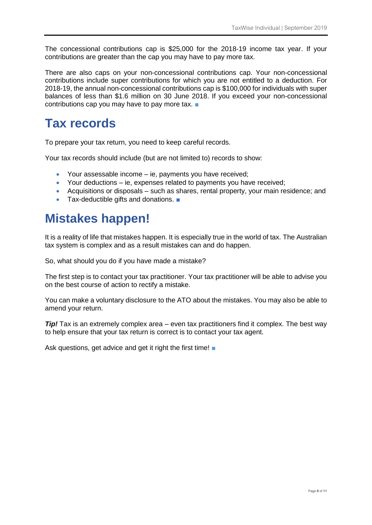The concessional contributions cap is \$25,000 for the 2018-19 income tax year. If your contributions are greater than the cap you may have to pay more tax.

There are also caps on your non-concessional contributions cap. Your non-concessional contributions include super contributions for which you are not entitled to a deduction. For 2018-19, the annual non-concessional contributions cap is \$100,000 for individuals with super balances of less than \$1.6 million on 30 June 2018. If you exceed your non-concessional contributions cap you may have to pay more tax. ■

## **Tax records**

To prepare your tax return, you need to keep careful records.

Your tax records should include (but are not limited to) records to show:

- Your assessable income ie, payments you have received;
- Your deductions ie, expenses related to payments you have received;
- Acquisitions or disposals such as shares, rental property, your main residence; and
- Tax-deductible gifts and donations. ■

# **Mistakes happen!**

It is a reality of life that mistakes happen. It is especially true in the world of tax. The Australian tax system is complex and as a result mistakes can and do happen.

So, what should you do if you have made a mistake?

The first step is to contact your tax practitioner. Your tax practitioner will be able to advise you on the best course of action to rectify a mistake.

You can make a voluntary disclosure to the ATO about the mistakes. You may also be able to amend your return.

*Tip!* Tax is an extremely complex area – even tax practitioners find it complex. The best way to help ensure that your tax return is correct is to contact your tax agent.

Ask questions, get advice and get it right the first time! ■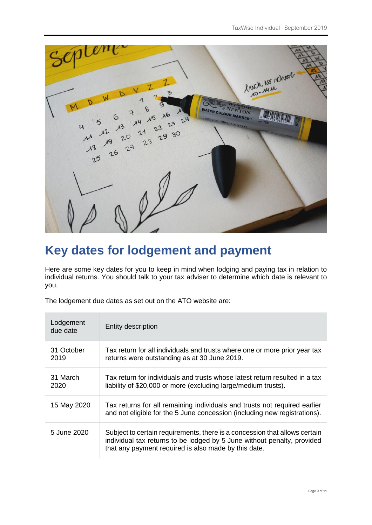

# **Key dates for lodgement and payment**

Here are some key dates for you to keep in mind when lodging and paying tax in relation to individual returns. You should talk to your tax adviser to determine which date is relevant to you.

The lodgement due dates as set out on the ATO website are:

| Lodgement<br>due date | Entity description                                                                                                                                                                                            |
|-----------------------|---------------------------------------------------------------------------------------------------------------------------------------------------------------------------------------------------------------|
| 31 October<br>2019    | Tax return for all individuals and trusts where one or more prior year tax<br>returns were outstanding as at 30 June 2019.                                                                                    |
| 31 March<br>2020      | Tax return for individuals and trusts whose latest return resulted in a tax<br>liability of \$20,000 or more (excluding large/medium trusts).                                                                 |
| 15 May 2020           | Tax returns for all remaining individuals and trusts not required earlier<br>and not eligible for the 5 June concession (including new registrations).                                                        |
| 5 June 2020           | Subject to certain requirements, there is a concession that allows certain<br>individual tax returns to be lodged by 5 June without penalty, provided<br>that any payment required is also made by this date. |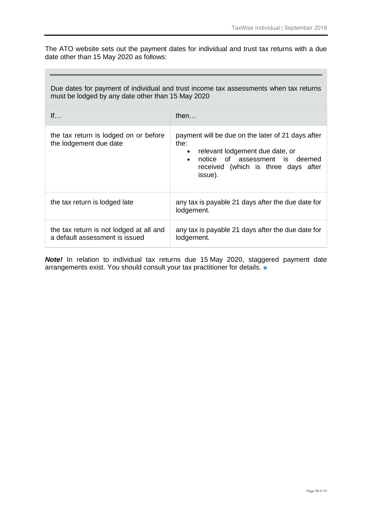The ATO website sets out the payment dates for individual and trust tax returns with a due date other than 15 May 2020 as follows:

<u> 1989 - Andrea Stadt Britain, amerikansk politiker (d. 1989)</u>

| Due dates for payment of individual and trust income tax assessments when tax returns<br>must be lodged by any date other than 15 May 2020 |                                                                                                                                                                                                            |  |
|--------------------------------------------------------------------------------------------------------------------------------------------|------------------------------------------------------------------------------------------------------------------------------------------------------------------------------------------------------------|--|
| If                                                                                                                                         | then                                                                                                                                                                                                       |  |
| the tax return is lodged on or before<br>the lodgement due date                                                                            | payment will be due on the later of 21 days after<br>the:<br>relevant lodgement due date, or<br>$\bullet$<br>notice of assessment is deemed<br>$\bullet$<br>received (which is three days after<br>issue). |  |
| the tax return is lodged late                                                                                                              | any tax is payable 21 days after the due date for<br>lodgement.                                                                                                                                            |  |
| the tax return is not lodged at all and<br>a default assessment is issued                                                                  | any tax is payable 21 days after the due date for<br>lodgement.                                                                                                                                            |  |

*Note!* In relation to individual tax returns due 15 May 2020, staggered payment date arrangements exist. You should consult your tax practitioner for details. ■